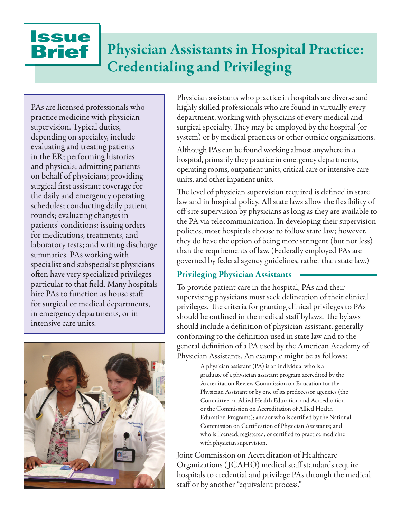**Issue** Brief

# Physician Assistants in Hospital Practice: Credentialing and Privileging

PAs are licensed professionals who practice medicine with physician supervision. Typical duties, depending on specialty, include evaluating and treating patients in the ER; performing histories and physicals; admitting patients on behalf of physicians; providing surgical first assistant coverage for the daily and emergency operating schedules; conducting daily patient rounds; evaluating changes in patients' conditions; issuing orders for medications, treatments, and laboratory tests; and writing discharge summaries. PAs working with specialist and subspecialist physicians often have very specialized privileges particular to that field. Many hospitals hire PAs to function as house staff for surgical or medical departments, in emergency departments, or in intensive care units.



Physician assistants who practice in hospitals are diverse and highly skilled professionals who are found in virtually every department, working with physicians of every medical and surgical specialty. They may be employed by the hospital (or system) or by medical practices or other outside organizations.

Although PAs can be found working almost anywhere in a hospital, primarily they practice in emergency departments, operating rooms, outpatient units, critical care or intensive care units, and other inpatient units.

The level of physician supervision required is defined in state law and in hospital policy. All state laws allow the flexibility of off-site supervision by physicians as long as they are available to the PA via telecommunication. In developing their supervision policies, most hospitals choose to follow state law; however, they do have the option of being more stringent (but not less) than the requirements of law. (Federally employed PAs are governed by federal agency guidelines, rather than state law.)

# Privileging Physician Assistants

To provide patient care in the hospital, PAs and their supervising physicians must seek delineation of their clinical privileges. The criteria for granting clinical privileges to PAs should be outlined in the medical staff bylaws. The bylaws should include a definition of physician assistant, generally conforming to the definition used in state law and to the general definition of a PA used by the American Academy of Physician Assistants. An example might be as follows:

> A physician assistant (PA) is an individual who is a graduate of a physician assistant program accredited by the Accreditation Review Commission on Education for the Physician Assistant or by one of its predecessor agencies (the Committee on Allied Health Education and Accreditation or the Commission on Accreditation of Allied Health Education Programs); and/or who is certified by the National Commission on Certification of Physician Assistants; and who is licensed, registered, or certified to practice medicine with physician supervision.

Joint Commission on Accreditation of Healthcare Organizations ( JCAHO) medical staff standards require hospitals to credential and privilege PAs through the medical staff or by another "equivalent process."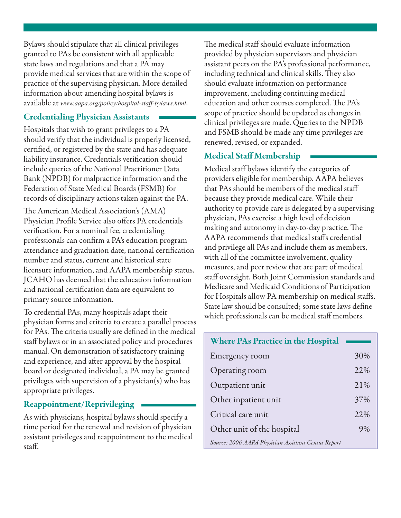Bylaws should stipulate that all clinical privileges granted to PAs be consistent with all applicable state laws and regulations and that a PA may provide medical services that are within the scope of practice of the supervising physician. More detailed information about amending hospital bylaws is available at *www.aapa.org/policy/hospital-staff-bylaws.html*.

# Credentialing Physician Assistants

Hospitals that wish to grant privileges to a PA should verify that the individual is properly licensed, certified, or registered by the state and has adequate liability insurance. Credentials verification should include queries of the National Practitioner Data Bank (NPDB) for malpractice information and the Federation of State Medical Boards (FSMB) for records of disciplinary actions taken against the PA.

The American Medical Association's (AMA) Physician Profile Service also offers PA credentials verification. For a nominal fee, credentialing professionals can confirm a PA's education program attendance and graduation date, national certification number and status, current and historical state licensure information, and AAPA membership status. JCAHO has deemed that the education information and national certification data are equivalent to primary source information.

To credential PAs, many hospitals adapt their physician forms and criteria to create a parallel process for PAs. The criteria usually are defined in the medical staff bylaws or in an associated policy and procedures manual. On demonstration of satisfactory training and experience, and after approval by the hospital board or designated individual, a PA may be granted privileges with supervision of a physician(s) who has appropriate privileges.

### Reappointment/Reprivileging

As with physicians, hospital bylaws should specify a time period for the renewal and revision of physician assistant privileges and reappointment to the medical staff.

The medical staff should evaluate information provided by physician supervisors and physician assistant peers on the PA's professional performance, including technical and clinical skills. They also should evaluate information on performance improvement, including continuing medical education and other courses completed. The PA's scope of practice should be updated as changes in clinical privileges are made. Queries to the NPDB and FSMB should be made any time privileges are renewed, revised, or expanded.

# Medical Staff Membership

Medical staff bylaws identify the categories of providers eligible for membership. AAPA believes that PAs should be members of the medical staff because they provide medical care. While their authority to provide care is delegated by a supervising physician, PAs exercise a high level of decision making and autonomy in day-to-day practice. The AAPA recommends that medical staffs credential and privilege all PAs and include them as members, with all of the committee involvement, quality measures, and peer review that are part of medical staff oversight. Both Joint Commission standards and Medicare and Medicaid Conditions of Participation for Hospitals allow PA membership on medical staffs. State law should be consulted; some state laws define which professionals can be medical staff members.

| <b>Where PAs Practice in the Hospital</b>           |     |
|-----------------------------------------------------|-----|
| Emergency room                                      | 30% |
| Operating room                                      | 22% |
| Outpatient unit                                     | 21% |
| Other inpatient unit                                | 37% |
| Critical care unit                                  | 22% |
| Other unit of the hospital                          | 9%  |
| Source: 2006 AAPA Physician Assistant Census Report |     |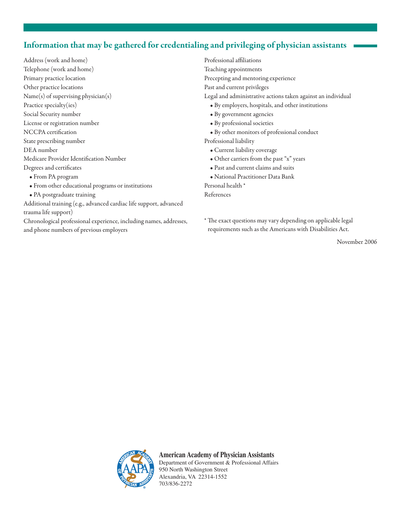# Information that may be gathered for credentialing and privileging of physician assistants

Address (work and home) Telephone (work and home) Primary practice location Other practice locations Name(s) of supervising physician(s) Practice specialty(ies) Social Security number License or registration number NCCPA certification State prescribing number DEA number Medicare Provider Identification Number Degrees and certificates

- From PA program
- From other educational programs or institutions
- PA postgraduate training
- Additional training (e.g., advanced cardiac life support, advanced trauma life support)

Chronological professional experience, including names, addresses, and phone numbers of previous employers

Professional affiliations Teaching appointments Precepting and mentoring experience Past and current privileges Legal and administrative actions taken against an individual • By employers, hospitals, and other institutions

- By government agencies
- By professional societies
- By other monitors of professional conduct

Professional liability

- Current liability coverage
- Other carriers from the past "x" years
- Past and current claims and suits
- National Practitioner Data Bank

Personal health \* References

\* The exact questions may vary depending on applicable legal requirements such as the Americans with Disabilities Act.

November 2006



**American Academy of Physician Assistants** Department of Government & Professional Affairs 950 North Washington Street Alexandria, VA 22314-1552 703/836-2272